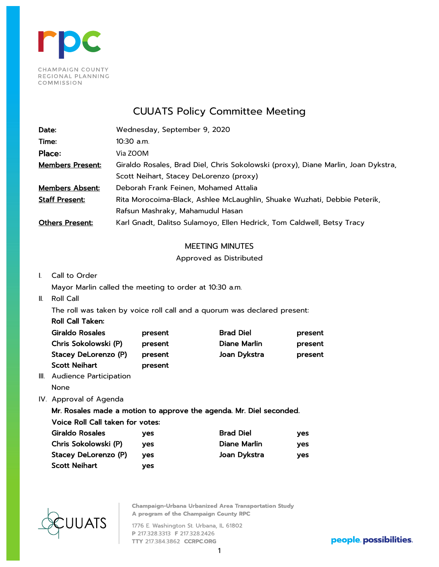

# CUUATS Policy Committee Meeting

| Date:                   | Wednesday, September 9, 2020                                                      |
|-------------------------|-----------------------------------------------------------------------------------|
| Time:                   | 10:30 a.m.                                                                        |
| Place:                  | Via ZOOM                                                                          |
| <b>Members Present:</b> | Giraldo Rosales, Brad Diel, Chris Sokolowski (proxy), Diane Marlin, Joan Dykstra, |
|                         | Scott Neihart, Stacey DeLorenzo (proxy)                                           |
| <b>Members Absent:</b>  | Deborah Frank Feinen, Mohamed Attalia                                             |
| <b>Staff Present:</b>   | Rita Morocoima-Black, Ashlee McLaughlin, Shuake Wuzhati, Debbie Peterik,          |
|                         | Rafsun Mashraky, Mahamudul Hasan                                                  |
| <b>Others Present:</b>  | Karl Gnadt, Dalitso Sulamoyo, Ellen Hedrick, Tom Caldwell, Betsy Tracy            |

## MEETING MINUTES

## Approved as Distributed

I. Call to Order

Mayor Marlin called the meeting to order at 10:30 a.m.

II. Roll Call

The roll was taken by voice roll call and a quorum was declared present:

| <b>Roll Call Taken:</b> |         |
|-------------------------|---------|
| Giraldo Rosales         | present |
| Chris Sokolowski (P)    | present |
| Stacey DeLorenzo (P)    | present |
| <b>Scott Neihart</b>    | present |
|                         |         |

Brad Diel **Present** Diane Marlin **present** Joan Dykstra **present** 

- III. Audience Participation None
- IV. Approval of Agenda

Mr. Rosales made a motion to approve the agenda. Mr. Diel seconded.

Voice Roll Call taken for votes:

| Giraldo Rosales      | ves        | <b>Brad Diel</b> | ves |
|----------------------|------------|------------------|-----|
| Chris Sokolowski (P) | ves.       | Diane Marlin     | ves |
| Stacey DeLorenzo (P) | <b>ves</b> | Joan Dykstra     | ves |
| <b>Scott Neihart</b> | ves        |                  |     |



**Champaign-Urbana Urbanized Area Transportation Study** A program of the Champaign County RPC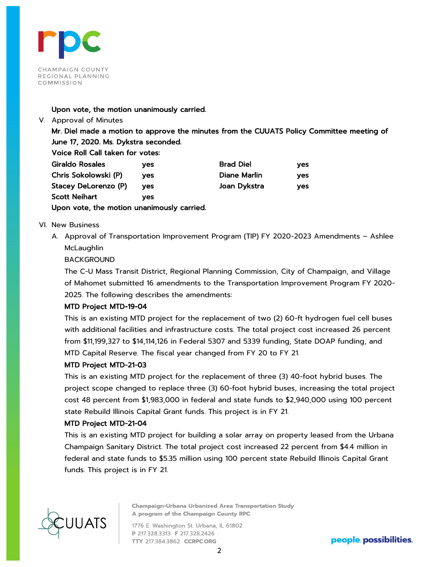

#### Upon vote, the motion unanimously carried.

V. Approval of Minutes

Mr. Diel made a motion to approve the minutes from the CUUATS Policy Committee meeting of June 17, 2020. Ms. Dykstra seconded.

Voice Roll Call taken for votes:

| <b>Giraldo Rosales</b>                     | ves | <b>Brad Diel</b> | ves |
|--------------------------------------------|-----|------------------|-----|
| Chris Sokolowski (P)                       | ves | Diane Marlin     | ves |
| Stacey DeLorenzo (P)                       | ves | Joan Dykstra     | ves |
| <b>Scott Neihart</b>                       | ves |                  |     |
| Upon vote, the motion unanimously carried. |     |                  |     |

VI. New Business

A. Approval of Transportation Improvement Program (TIP) FY 2020-2023 Amendments – Ashlee **McLaughlin** 

BACKGROUND

The C-U Mass Transit District, Regional Planning Commission, City of Champaign, and Village of Mahomet submitted 16 amendments to the Transportation Improvement Program FY 2020- 2025. The following describes the amendments:

## MTD Project MTD-19-04

This is an existing MTD project for the replacement of two (2) 60-ft hydrogen fuel cell buses with additional facilities and infrastructure costs. The total project cost increased 26 percent from \$11,199,327 to \$14,114,126 in Federal 5307 and 5339 funding, State DOAP funding, and MTD Capital Reserve. The fiscal year changed from FY 20 to FY 21.

## MTD Project MTD-21-03

This is an existing MTD project for the replacement of three (3) 40-foot hybrid buses. The project scope changed to replace three (3) 60-foot hybrid buses, increasing the total project cost 48 percent from \$1,983,000 in federal and state funds to \$2,940,000 using 100 percent state Rebuild Illinois Capital Grant funds. This project is in FY 21.

## MTD Project MTD-21-04

This is an existing MTD project for building a solar array on property leased from the Urbana Champaign Sanitary District. The total project cost increased 22 percent from \$4.4 million in federal and state funds to \$5.35 million using 100 percent state Rebuild Illinois Capital Grant funds. This project is in FY 21.



**Champaign-Urbana Urbanized Area Transportation Study** A program of the Champaign County RPC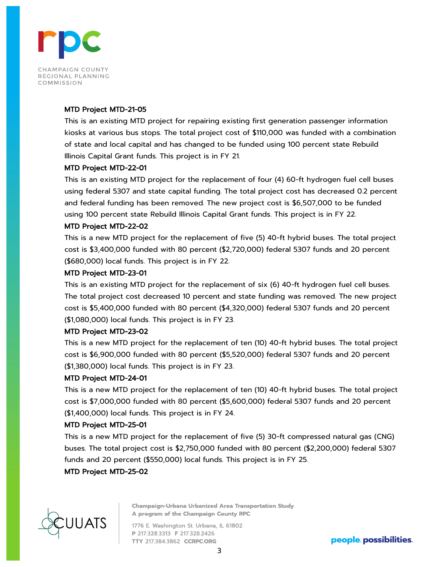

#### MTD Project MTD-21-05

This is an existing MTD project for repairing existing first generation passenger information kiosks at various bus stops. The total project cost of \$110,000 was funded with a combination of state and local capital and has changed to be funded using 100 percent state Rebuild Illinois Capital Grant funds. This project is in FY 21.

#### MTD Project MTD-22-01

This is an existing MTD project for the replacement of four (4) 60-ft hydrogen fuel cell buses using federal 5307 and state capital funding. The total project cost has decreased 0.2 percent and federal funding has been removed. The new project cost is \$6,507,000 to be funded using 100 percent state Rebuild Illinois Capital Grant funds. This project is in FY 22.

#### MTD Project MTD-22-02

This is a new MTD project for the replacement of five (5) 40-ft hybrid buses. The total project cost is \$3,400,000 funded with 80 percent (\$2,720,000) federal 5307 funds and 20 percent (\$680,000) local funds. This project is in FY 22.

#### MTD Project MTD-23-01

This is an existing MTD project for the replacement of six (6) 40-ft hydrogen fuel cell buses. The total project cost decreased 10 percent and state funding was removed. The new project cost is \$5,400,000 funded with 80 percent (\$4,320,000) federal 5307 funds and 20 percent (\$1,080,000) local funds. This project is in FY 23.

#### MTD Project MTD-23-02

This is a new MTD project for the replacement of ten (10) 40-ft hybrid buses. The total project cost is \$6,900,000 funded with 80 percent (\$5,520,000) federal 5307 funds and 20 percent (\$1,380,000) local funds. This project is in FY 23.

#### MTD Project MTD-24-01

This is a new MTD project for the replacement of ten (10) 40-ft hybrid buses. The total project cost is \$7,000,000 funded with 80 percent (\$5,600,000) federal 5307 funds and 20 percent (\$1,400,000) local funds. This project is in FY 24.

#### MTD Project MTD-25-01

This is a new MTD project for the replacement of five (5) 30-ft compressed natural gas (CNG) buses. The total project cost is \$2,750,000 funded with 80 percent (\$2,200,000) federal 5307 funds and 20 percent (\$550,000) local funds. This project is in FY 25.

## MTD Project MTD-25-02



**Champaign-Urbana Urbanized Area Transportation Study** A program of the Champaign County RPC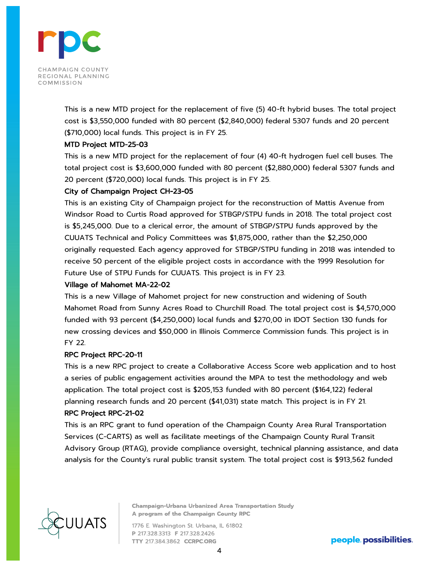

This is a new MTD project for the replacement of five (5) 40-ft hybrid buses. The total project cost is \$3,550,000 funded with 80 percent (\$2,840,000) federal 5307 funds and 20 percent (\$710,000) local funds. This project is in FY 25.

## MTD Project MTD-25-03

This is a new MTD project for the replacement of four (4) 40-ft hydrogen fuel cell buses. The total project cost is \$3,600,000 funded with 80 percent (\$2,880,000) federal 5307 funds and 20 percent (\$720,000) local funds. This project is in FY 25.

## City of Champaign Project CH-23-05

This is an existing City of Champaign project for the reconstruction of Mattis Avenue from Windsor Road to Curtis Road approved for STBGP/STPU funds in 2018. The total project cost is \$5,245,000. Due to a clerical error, the amount of STBGP/STPU funds approved by the CUUATS Technical and Policy Committees was \$1,875,000, rather than the \$2,250,000 originally requested. Each agency approved for STBGP/STPU funding in 2018 was intended to receive 50 percent of the eligible project costs in accordance with the 1999 Resolution for Future Use of STPU Funds for CUUATS. This project is in FY 23.

## Village of Mahomet MA-22-02

This is a new Village of Mahomet project for new construction and widening of South Mahomet Road from Sunny Acres Road to Churchill Road. The total project cost is \$4,570,000 funded with 93 percent (\$4,250,000) local funds and \$270,00 in IDOT Section 130 funds for new crossing devices and \$50,000 in Illinois Commerce Commission funds. This project is in FY 22.

## RPC Project RPC-20-11

This is a new RPC project to create a Collaborative Access Score web application and to host a series of public engagement activities around the MPA to test the methodology and web application. The total project cost is \$205,153 funded with 80 percent (\$164,122) federal planning research funds and 20 percent (\$41,031) state match. This project is in FY 21.

## RPC Project RPC-21-02

This is an RPC grant to fund operation of the Champaign County Area Rural Transportation Services (C-CARTS) as well as facilitate meetings of the Champaign County Rural Transit Advisory Group (RTAG), provide compliance oversight, technical planning assistance, and data analysis for the County's rural public transit system. The total project cost is \$913,562 funded



**Champaign-Urbana Urbanized Area Transportation Study** A program of the Champaign County RPC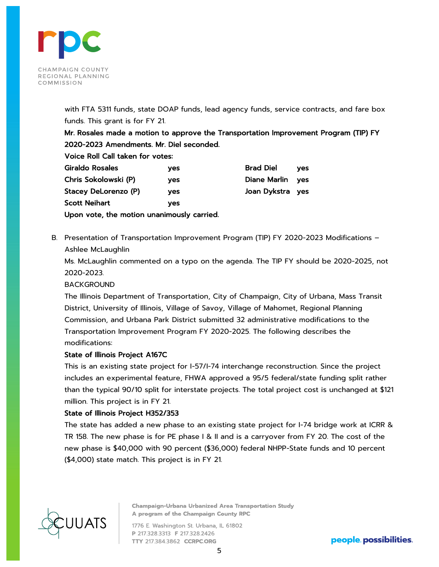

with FTA 5311 funds, state DOAP funds, lead agency funds, service contracts, and fare box funds. This grant is for FY 21.

Mr. Rosales made a motion to approve the Transportation Improvement Program (TIP) FY 2020-2023 Amendments. Mr. Diel seconded.

Voice Roll Call taken for votes:

| Giraldo Rosales                            | ves | <b>Brad Diel</b>    | ves |
|--------------------------------------------|-----|---------------------|-----|
| Chris Sokolowski (P)                       | ves | <b>Diane Marlin</b> | ves |
| Stacey DeLorenzo (P)                       | ves | Joan Dykstra yes    |     |
| <b>Scott Neihart</b>                       | ves |                     |     |
| Upon vote, the motion unanimously carried. |     |                     |     |

B. Presentation of Transportation Improvement Program (TIP) FY 2020-2023 Modifications – Ashlee McLaughlin

Ms. McLaughlin commented on a typo on the agenda. The TIP FY should be 2020-2025, not 2020-2023.

## BACKGROUND

The Illinois Department of Transportation, City of Champaign, City of Urbana, Mass Transit District, University of Illinois, Village of Savoy, Village of Mahomet, Regional Planning Commission, and Urbana Park District submitted 32 administrative modifications to the Transportation Improvement Program FY 2020-2025. The following describes the modifications:

## State of Illinois Project A167C

This is an existing state project for I-57/I-74 interchange reconstruction. Since the project includes an experimental feature, FHWA approved a 95/5 federal/state funding split rather than the typical 90/10 split for interstate projects. The total project cost is unchanged at \$121 million. This project is in FY 21.

#### State of Illinois Project H352/353

The state has added a new phase to an existing state project for I-74 bridge work at ICRR & TR 158. The new phase is for PE phase I & II and is a carryover from FY 20. The cost of the new phase is \$40,000 with 90 percent (\$36,000) federal NHPP-State funds and 10 percent (\$4,000) state match. This project is in FY 21.



**Champaign-Urbana Urbanized Area Transportation Study** A program of the Champaign County RPC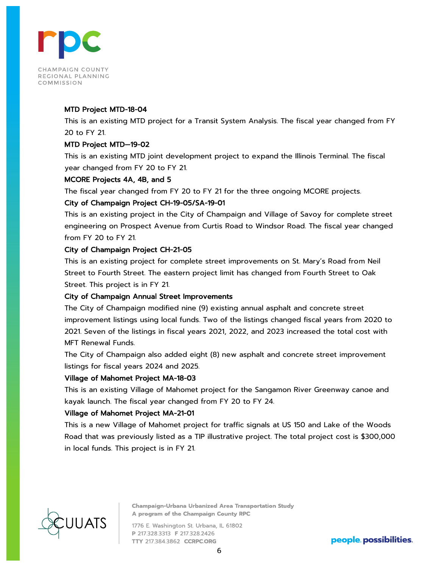

#### MTD Project MTD-18-04

This is an existing MTD project for a Transit System Analysis. The fiscal year changed from FY 20 to FY 21.

#### MTD Project MTD—19-02

This is an existing MTD joint development project to expand the Illinois Terminal. The fiscal year changed from FY 20 to FY 21.

#### MCORE Projects 4A, 4B, and 5

The fiscal year changed from FY 20 to FY 21 for the three ongoing MCORE projects.

#### City of Champaign Project CH-19-05/SA-19-01

This is an existing project in the City of Champaign and Village of Savoy for complete street engineering on Prospect Avenue from Curtis Road to Windsor Road. The fiscal year changed from FY 20 to FY 21.

## City of Champaign Project CH-21-05

This is an existing project for complete street improvements on St. Mary's Road from Neil Street to Fourth Street. The eastern project limit has changed from Fourth Street to Oak Street. This project is in FY 21.

#### City of Champaign Annual Street Improvements

The City of Champaign modified nine (9) existing annual asphalt and concrete street improvement listings using local funds. Two of the listings changed fiscal years from 2020 to 2021. Seven of the listings in fiscal years 2021, 2022, and 2023 increased the total cost with MFT Renewal Funds.

The City of Champaign also added eight (8) new asphalt and concrete street improvement listings for fiscal years 2024 and 2025.

#### Village of Mahomet Project MA-18-03

This is an existing Village of Mahomet project for the Sangamon River Greenway canoe and kayak launch. The fiscal year changed from FY 20 to FY 24.

## Village of Mahomet Project MA-21-01

This is a new Village of Mahomet project for traffic signals at US 150 and Lake of the Woods Road that was previously listed as a TIP illustrative project. The total project cost is \$300,000 in local funds. This project is in FY 21.



**Champaign-Urbana Urbanized Area Transportation Study** A program of the Champaign County RPC

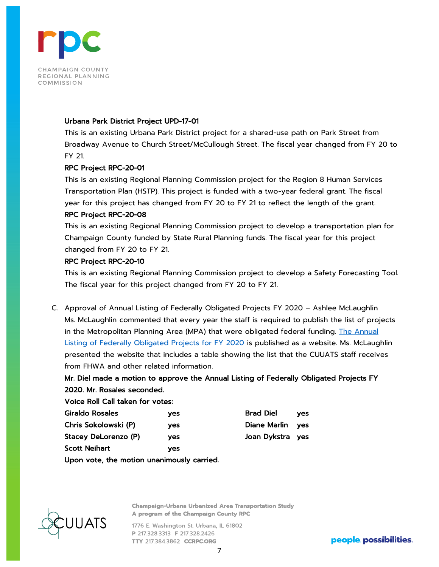

#### Urbana Park District Project UPD-17-01

This is an existing Urbana Park District project for a shared-use path on Park Street from Broadway Avenue to Church Street/McCullough Street. The fiscal year changed from FY 20 to FY 21.

#### RPC Project RPC-20-01

This is an existing Regional Planning Commission project for the Region 8 Human Services Transportation Plan (HSTP). This project is funded with a two-year federal grant. The fiscal year for this project has changed from FY 20 to FY 21 to reflect the length of the grant.

#### RPC Project RPC-20-08

This is an existing Regional Planning Commission project to develop a transportation plan for Champaign County funded by State Rural Planning funds. The fiscal year for this project changed from FY 20 to FY 21.

## RPC Project RPC-20-10

This is an existing Regional Planning Commission project to develop a Safety Forecasting Tool. The fiscal year for this project changed from FY 20 to FY 21.

C. Approval of Annual Listing of Federally Obligated Projects FY 2020 – Ashlee McLaughlin Ms. McLaughlin commented that every year the staff is required to publish the list of projects in the Metropolitan Planning Area (MPA) that were obligated federal funding. [The Annual](https://ccrpc.org/documents/federally-obligated-projects/fy-2020-fop/)  [Listing of Federally Obligated Projects for FY 2020 i](https://ccrpc.org/documents/federally-obligated-projects/fy-2020-fop/)s published as a website. Ms. McLaughlin presented the website that includes a table showing the list that the CUUATS staff receives from FHWA and other related information.

## Mr. Diel made a motion to approve the Annual Listing of Federally Obligated Projects FY 2020. Mr. Rosales seconded.

| Voice Roll Call taken for votes: |     |                  |            |
|----------------------------------|-----|------------------|------------|
| Giraldo Rosales                  | ves | <b>Brad Diel</b> | <b>ves</b> |
| Chris Sokolowski (P)             | ves | Diane Marlin     | ves        |
| Stacey DeLorenzo (P)             | ves | Joan Dykstra yes |            |
| Scott Neihart                    | yes |                  |            |

Upon vote, the motion unanimously carried.



**Champaign-Urbana Urbanized Area Transportation Study** A program of the Champaign County RPC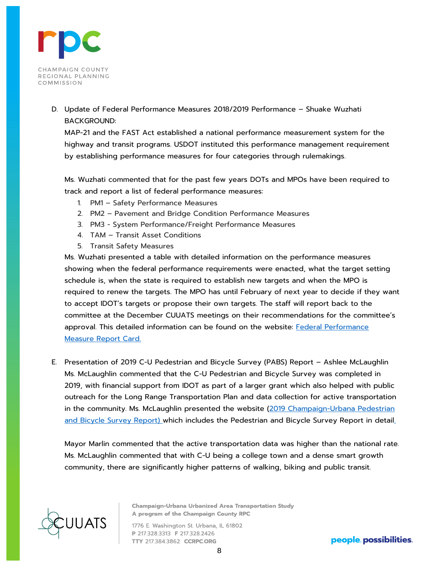

D. Update of Federal Performance Measures 2018/2019 Performance – Shuake Wuzhati BACKGROUND:

MAP-21 and the FAST Act established a national performance measurement system for the highway and transit programs. USDOT instituted this performance management requirement by establishing performance measures for four categories through rulemakings.

Ms. Wuzhati commented that for the past few years DOTs and MPOs have been required to track and report a list of federal performance measures:

- 1. PM1 Safety Performance Measures
- 2. PM2 Pavement and Bridge Condition Performance Measures
- 3. PM3 System Performance/Freight Performance Measures
- 4. TAM Transit Asset Conditions
- 5. Transit Safety Measures

Ms. Wuzhati presented a table with detailed information on the performance measures showing when the federal performance requirements were enacted, what the target setting schedule is, when the state is required to establish new targets and when the MPO is required to renew the targets. The MPO has until February of next year to decide if they want to accept IDOT's targets or propose their own targets. The staff will report back to the committee at the December CUUATS meetings on their recommendations for the committee's approval. This detailed information can be found on the website: Federal Performance [Measure Report Card.](https://ccrpc.org/documents/system-performance-report/)

E. Presentation of 2019 C-U Pedestrian and Bicycle Survey (PABS) Report – Ashlee McLaughlin Ms. McLaughlin commented that the C-U Pedestrian and Bicycle Survey was completed in 2019, with financial support from IDOT as part of a larger grant which also helped with public outreach for the Long Range Transportation Plan and data collection for active transportation in the community. Ms. McLaughlin presented the website (2019 Champaign-Urbana Pedestrian [and Bicycle Survey Report\)](https://ccrpc.gitlab.io/pabs/) which includes the Pedestrian and Bicycle Survey Report in detail.

Mayor Marlin commented that the active transportation data was higher than the national rate. Ms. McLaughlin commented that with C-U being a college town and a dense smart growth community, there are significantly higher patterns of walking, biking and public transit.



**Champaign-Urbana Urbanized Area Transportation Study** A program of the Champaign County RPC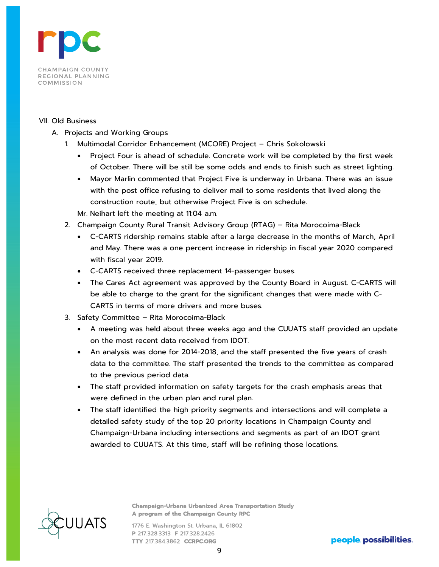

#### VII. Old Business

- A. Projects and Working Groups
	- 1. Multimodal Corridor Enhancement (MCORE) Project Chris Sokolowski
		- Project Four is ahead of schedule. Concrete work will be completed by the first week of October. There will be still be some odds and ends to finish such as street lighting.
		- Mayor Marlin commented that Project Five is underway in Urbana. There was an issue with the post office refusing to deliver mail to some residents that lived along the construction route, but otherwise Project Five is on schedule.
		- Mr. Neihart left the meeting at 11:04 a.m.
	- 2. Champaign County Rural Transit Advisory Group (RTAG) Rita Morocoima-Black
		- C-CARTS ridership remains stable after a large decrease in the months of March, April and May. There was a one percent increase in ridership in fiscal year 2020 compared with fiscal year 2019.
		- C-CARTS received three replacement 14-passenger buses.
		- The Cares Act agreement was approved by the County Board in August. C-CARTS will be able to charge to the grant for the significant changes that were made with C-CARTS in terms of more drivers and more buses.
	- 3. Safety Committee Rita Morocoima-Black
		- A meeting was held about three weeks ago and the CUUATS staff provided an update on the most recent data received from IDOT.
		- An analysis was done for 2014-2018, and the staff presented the five years of crash data to the committee. The staff presented the trends to the committee as compared to the previous period data.
		- The staff provided information on safety targets for the crash emphasis areas that were defined in the urban plan and rural plan.
		- The staff identified the high priority segments and intersections and will complete a detailed safety study of the top 20 priority locations in Champaign County and Champaign-Urbana including intersections and segments as part of an IDOT grant awarded to CUUATS. At this time, staff will be refining those locations.



**Champaign-Urbana Urbanized Area Transportation Study** A program of the Champaign County RPC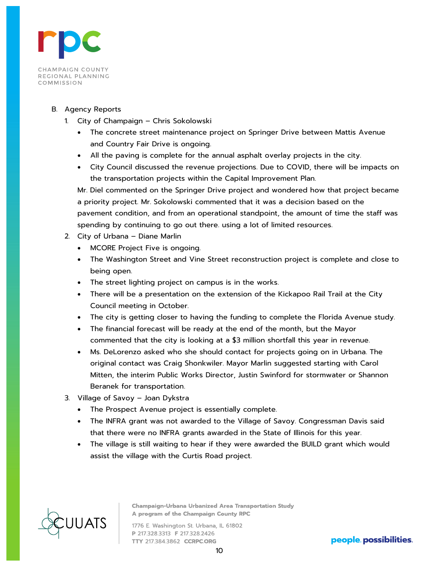

#### B. Agency Reports

- 1. City of Champaign Chris Sokolowski
	- The concrete street maintenance project on Springer Drive between Mattis Avenue and Country Fair Drive is ongoing.
	- All the paving is complete for the annual asphalt overlay projects in the city.
	- City Council discussed the revenue projections. Due to COVID, there will be impacts on the transportation projects within the Capital Improvement Plan.

Mr. Diel commented on the Springer Drive project and wondered how that project became a priority project. Mr. Sokolowski commented that it was a decision based on the pavement condition, and from an operational standpoint, the amount of time the staff was spending by continuing to go out there. using a lot of limited resources.

- 2. City of Urbana Diane Marlin
	- MCORE Project Five is ongoing.
	- The Washington Street and Vine Street reconstruction project is complete and close to being open.
	- The street lighting project on campus is in the works.
	- There will be a presentation on the extension of the Kickapoo Rail Trail at the City Council meeting in October.
	- The city is getting closer to having the funding to complete the Florida Avenue study.
	- The financial forecast will be ready at the end of the month, but the Mayor commented that the city is looking at a \$3 million shortfall this year in revenue.
	- Ms. DeLorenzo asked who she should contact for projects going on in Urbana. The original contact was Craig Shonkwiler. Mayor Marlin suggested starting with Carol Mitten, the interim Public Works Director, Justin Swinford for stormwater or Shannon Beranek for transportation.
- 3. Village of Savoy Joan Dykstra
	- The Prospect Avenue project is essentially complete.
	- The INFRA grant was not awarded to the Village of Savoy. Congressman Davis said that there were no INFRA grants awarded in the State of Illinois for this year.
	- The village is still waiting to hear if they were awarded the BUILD grant which would assist the village with the Curtis Road project.



**Champaign-Urbana Urbanized Area Transportation Study** A program of the Champaign County RPC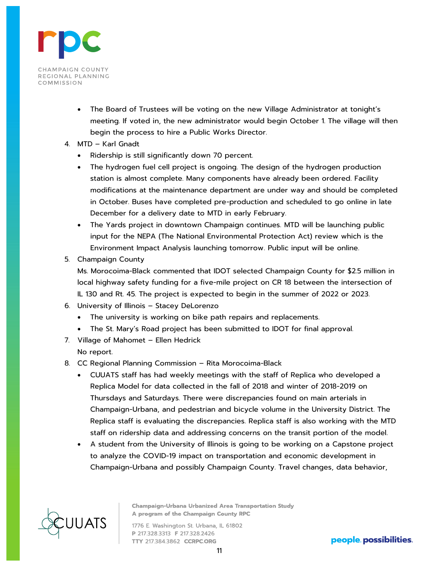

- The Board of Trustees will be voting on the new Village Administrator at tonight's meeting. If voted in, the new administrator would begin October 1. The village will then begin the process to hire a Public Works Director.
- 4. MTD Karl Gnadt
	- Ridership is still significantly down 70 percent.
	- The hydrogen fuel cell project is ongoing. The design of the hydrogen production station is almost complete. Many components have already been ordered. Facility modifications at the maintenance department are under way and should be completed in October. Buses have completed pre-production and scheduled to go online in late December for a delivery date to MTD in early February.
	- The Yards project in downtown Champaign continues. MTD will be launching public input for the NEPA (The National Environmental Protection Act) review which is the Environment Impact Analysis launching tomorrow. Public input will be online.
- 5. Champaign County

Ms. Morocoima-Black commented that IDOT selected Champaign County for \$2.5 million in local highway safety funding for a five-mile project on CR 18 between the intersection of IL 130 and Rt. 45. The project is expected to begin in the summer of 2022 or 2023.

- 6. University of Illinois Stacey DeLorenzo
	- The university is working on bike path repairs and replacements.
	- The St. Mary's Road project has been submitted to IDOT for final approval.
- 7. Village of Mahomet Ellen Hedrick No report.
- 8. CC Regional Planning Commission Rita Morocoima-Black
	- CUUATS staff has had weekly meetings with the staff of Replica who developed a Replica Model for data collected in the fall of 2018 and winter of 2018-2019 on Thursdays and Saturdays. There were discrepancies found on main arterials in Champaign-Urbana, and pedestrian and bicycle volume in the University District. The Replica staff is evaluating the discrepancies. Replica staff is also working with the MTD staff on ridership data and addressing concerns on the transit portion of the model.
	- A student from the University of Illinois is going to be working on a Capstone project to analyze the COVID-19 impact on transportation and economic development in Champaign-Urbana and possibly Champaign County. Travel changes, data behavior,



**Champaign-Urbana Urbanized Area Transportation Study** A program of the Champaign County RPC